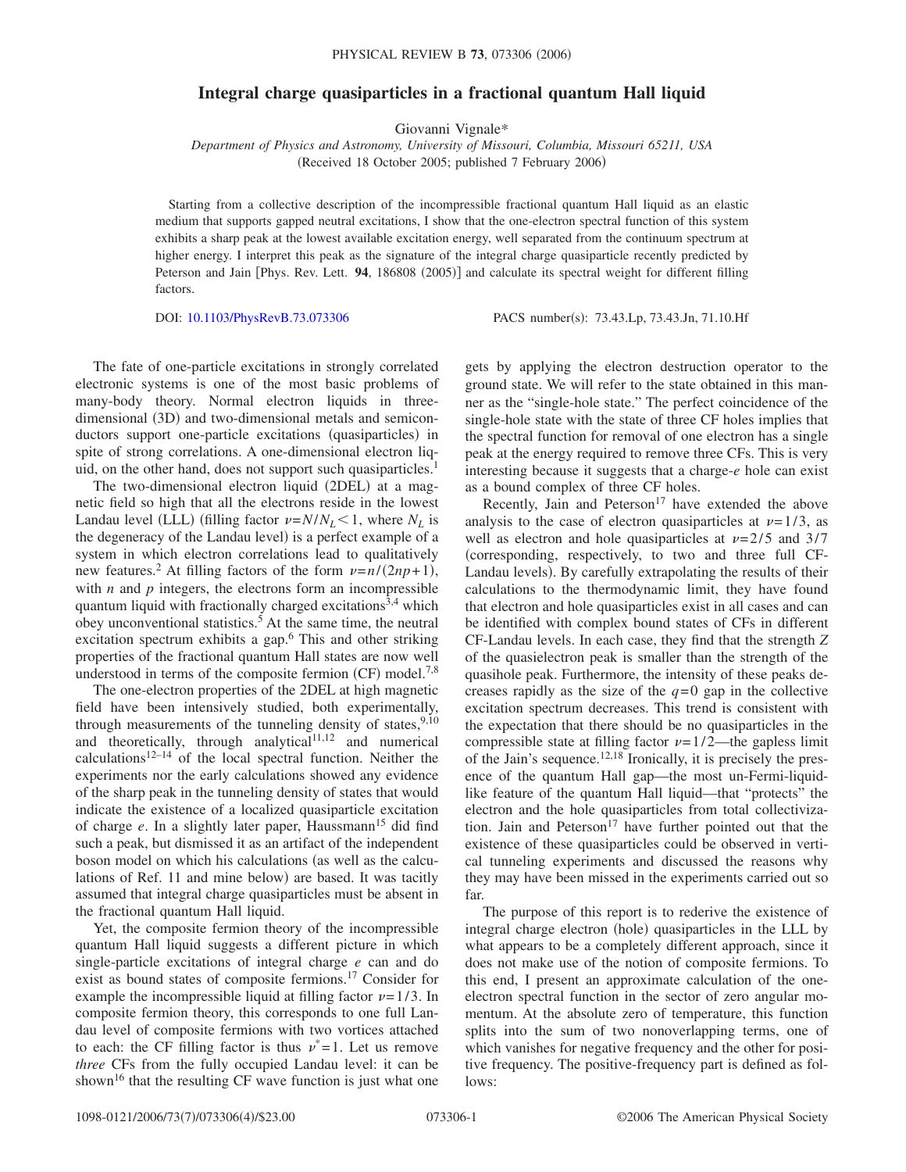## **Integral charge quasiparticles in a fractional quantum Hall liquid**

Giovanni Vignale\*

*Department of Physics and Astronomy, University of Missouri, Columbia, Missouri 65211, USA* (Received 18 October 2005; published 7 February 2006)

Starting from a collective description of the incompressible fractional quantum Hall liquid as an elastic medium that supports gapped neutral excitations, I show that the one-electron spectral function of this system exhibits a sharp peak at the lowest available excitation energy, well separated from the continuum spectrum at higher energy. I interpret this peak as the signature of the integral charge quasiparticle recently predicted by Peterson and Jain [Phys. Rev. Lett. 94, 186808 (2005)] and calculate its spectral weight for different filling factors.

DOI: [10.1103/PhysRevB.73.073306](http://dx.doi.org/10.1103/PhysRevB.73.073306)

PACS number(s): 73.43.Lp, 73.43.Jn, 71.10.Hf

The fate of one-particle excitations in strongly correlated electronic systems is one of the most basic problems of many-body theory. Normal electron liquids in threedimensional (3D) and two-dimensional metals and semiconductors support one-particle excitations (quasiparticles) in spite of strong correlations. A one-dimensional electron liquid, on the other hand, does not support such quasiparticles.<sup>1</sup>

The two-dimensional electron liquid (2DEL) at a magnetic field so high that all the electrons reside in the lowest Landau level (LLL) (filling factor  $\nu = N/N_L < 1$ , where  $N_L$  is the degeneracy of the Landau level) is a perfect example of a system in which electron correlations lead to qualitatively new features.<sup>2</sup> At filling factors of the form  $\nu = n/(2np + 1)$ , with  $n$  and  $p$  integers, the electrons form an incompressible quantum liquid with fractionally charged excitations<sup>3,4</sup> which obey unconventional statistics.<sup>5</sup> At the same time, the neutral excitation spectrum exhibits a gap.<sup>6</sup> This and other striking properties of the fractional quantum Hall states are now well understood in terms of the composite fermion  $(CF)$  model.<sup>7,8</sup>

The one-electron properties of the 2DEL at high magnetic field have been intensively studied, both experimentally, through measurements of the tunneling density of states,  $9,10$ and theoretically, through analytical<sup>11,12</sup> and numerical calculations<sup>12–14</sup> of the local spectral function. Neither the experiments nor the early calculations showed any evidence of the sharp peak in the tunneling density of states that would indicate the existence of a localized quasiparticle excitation of charge *e*. In a slightly later paper, Haussmann<sup>15</sup> did find such a peak, but dismissed it as an artifact of the independent boson model on which his calculations (as well as the calculations of Ref. 11 and mine below) are based. It was tacitly assumed that integral charge quasiparticles must be absent in the fractional quantum Hall liquid.

Yet, the composite fermion theory of the incompressible quantum Hall liquid suggests a different picture in which single-particle excitations of integral charge *e* can and do exist as bound states of composite fermions.17 Consider for example the incompressible liquid at filling factor  $\nu = 1/3$ . In composite fermion theory, this corresponds to one full Landau level of composite fermions with two vortices attached to each: the CF filling factor is thus  $v^*=1$ . Let us remove *three* CFs from the fully occupied Landau level: it can be shown<sup>16</sup> that the resulting CF wave function is just what one

gets by applying the electron destruction operator to the ground state. We will refer to the state obtained in this manner as the "single-hole state." The perfect coincidence of the single-hole state with the state of three CF holes implies that the spectral function for removal of one electron has a single peak at the energy required to remove three CFs. This is very interesting because it suggests that a charge-*e* hole can exist as a bound complex of three CF holes.

Recently, Jain and Peterson<sup>17</sup> have extended the above analysis to the case of electron quasiparticles at  $\nu = 1/3$ , as well as electron and hole quasiparticles at  $\nu = 2/5$  and 3/7 corresponding, respectively, to two and three full CF-Landau levels). By carefully extrapolating the results of their calculations to the thermodynamic limit, they have found that electron and hole quasiparticles exist in all cases and can be identified with complex bound states of CFs in different CF-Landau levels. In each case, they find that the strength *Z* of the quasielectron peak is smaller than the strength of the quasihole peak. Furthermore, the intensity of these peaks decreases rapidly as the size of the  $q=0$  gap in the collective excitation spectrum decreases. This trend is consistent with the expectation that there should be no quasiparticles in the compressible state at filling factor  $\nu = 1/2$ —the gapless limit of the Jain's sequence.<sup>12,18</sup> Ironically, it is precisely the presence of the quantum Hall gap—the most un-Fermi-liquidlike feature of the quantum Hall liquid—that "protects" the electron and the hole quasiparticles from total collectivization. Jain and Peterson<sup>17</sup> have further pointed out that the existence of these quasiparticles could be observed in vertical tunneling experiments and discussed the reasons why they may have been missed in the experiments carried out so far.

The purpose of this report is to rederive the existence of integral charge electron (hole) quasiparticles in the LLL by what appears to be a completely different approach, since it does not make use of the notion of composite fermions. To this end, I present an approximate calculation of the oneelectron spectral function in the sector of zero angular momentum. At the absolute zero of temperature, this function splits into the sum of two nonoverlapping terms, one of which vanishes for negative frequency and the other for positive frequency. The positive-frequency part is defined as follows: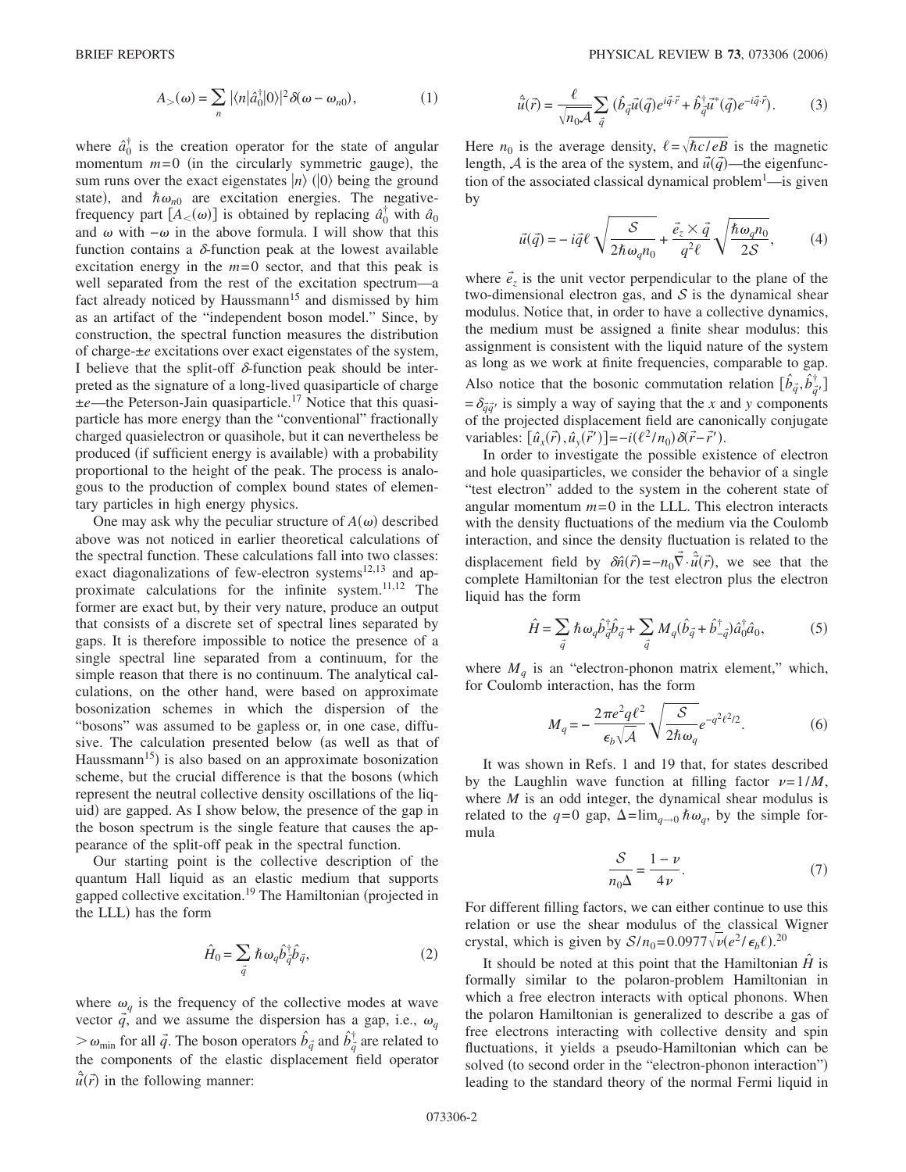$$
A_{>}(\omega) = \sum_{n} |\langle n|\hat{a}_0^{\dagger}|0\rangle|^2 \delta(\omega - \omega_{n0}), \qquad (1)
$$

where  $\hat{a}_0^{\dagger}$  is the creation operator for the state of angular momentum  $m=0$  (in the circularly symmetric gauge), the sum runs over the exact eigenstates  $|n\rangle$  ( $|0\rangle$  being the ground state), and  $\hbar \omega_{n0}$  are excitation energies. The negativefrequency part  $[A<sub>0</sub>(\omega)]$  is obtained by replacing  $\hat{a}_0^{\dagger}$  with  $\hat{a}_0$ and  $\omega$  with  $-\omega$  in the above formula. I will show that this function contains a  $\delta$ -function peak at the lowest available excitation energy in the  $m=0$  sector, and that this peak is well separated from the rest of the excitation spectrum—a fact already noticed by Haussmann<sup>15</sup> and dismissed by him as an artifact of the "independent boson model." Since, by construction, the spectral function measures the distribution of charge-±*e* excitations over exact eigenstates of the system, I believe that the split-off  $\delta$ -function peak should be interpreted as the signature of a long-lived quasiparticle of charge ±*e*—the Peterson-Jain quasiparticle.17 Notice that this quasiparticle has more energy than the "conventional" fractionally charged quasielectron or quasihole, but it can nevertheless be produced (if sufficient energy is available) with a probability proportional to the height of the peak. The process is analogous to the production of complex bound states of elementary particles in high energy physics.

One may ask why the peculiar structure of  $A(\omega)$  described above was not noticed in earlier theoretical calculations of the spectral function. These calculations fall into two classes: exact diagonalizations of few-electron systems $12,13$  and approximate calculations for the infinite system.11,12 The former are exact but, by their very nature, produce an output that consists of a discrete set of spectral lines separated by gaps. It is therefore impossible to notice the presence of a single spectral line separated from a continuum, for the simple reason that there is no continuum. The analytical calculations, on the other hand, were based on approximate bosonization schemes in which the dispersion of the "bosons" was assumed to be gapless or, in one case, diffusive. The calculation presented below (as well as that of Haussmann<sup>15</sup>) is also based on an approximate bosonization scheme, but the crucial difference is that the bosons (which represent the neutral collective density oscillations of the liquid) are gapped. As I show below, the presence of the gap in the boson spectrum is the single feature that causes the appearance of the split-off peak in the spectral function.

Our starting point is the collective description of the quantum Hall liquid as an elastic medium that supports gapped collective excitation.<sup>19</sup> The Hamiltonian (projected in the LLL) has the form

$$
\hat{H}_0 = \sum_{\vec{q}} \hbar \omega_q \hat{b}_{\vec{q}}^{\dagger} \hat{b}_{\vec{q}}, \tag{2}
$$

where  $\omega_q$  is the frequency of the collective modes at wave vector  $\vec{q}$ , and we assume the dispersion has a gap, i.e.,  $\omega_q$  $\gg \omega_{\text{min}}$  for all  $\vec{q}$ . The boson operators  $\hat{b}_{\vec{q}}$  and  $\hat{b}_{\vec{q}}^{\dagger}$  are related to the components of the elastic displacement field operator  $\hat{u}(\vec{r})$  in the following manner:

$$
\hat{\vec{u}}(\vec{r}) = \frac{\ell}{\sqrt{n_0 A}} \sum_{\vec{q}} (\hat{b}_{\vec{q}} \vec{u}(\vec{q}) e^{i\vec{q}\cdot\vec{r}} + \hat{b}_{\vec{q}}^{\dagger} \vec{u}^*(\vec{q}) e^{-i\vec{q}\cdot\vec{r}}).
$$
 (3)

Here  $n_0$  is the average density,  $\ell = \sqrt{\hbar c / eB}$  is the magnetic length, A is the area of the system, and  $\vec{u}(\vec{q})$ —the eigenfunction of the associated classical dynamical problem<sup>1</sup>—is given by

$$
\vec{u}(\vec{q}) = -i\vec{q}\ell \sqrt{\frac{S}{2\hbar\omega_q n_0}} + \frac{\vec{e}_z \times \vec{q}}{q^2 \ell} \sqrt{\frac{\hbar\omega_q n_0}{2S}},\tag{4}
$$

where  $\vec{e}_z$  is the unit vector perpendicular to the plane of the two-dimensional electron gas, and  $S$  is the dynamical shear modulus. Notice that, in order to have a collective dynamics, the medium must be assigned a finite shear modulus: this assignment is consistent with the liquid nature of the system as long as we work at finite frequencies, comparable to gap. Also notice that the bosonic commutation relation  $[\hat{b}_{\vec{q}}, \hat{b}^{\dagger}_{\vec{q}}]$  $=\delta_{\vec{q}\vec{q}}$  is simply a way of saying that the *x* and *y* components of the projected displacement field are canonically conjugate variables:  $[\hat{u}_x(\vec{r}), \hat{u}_y(\vec{r}')] = -i(\ell^2/n_0)\delta(\vec{r} - \vec{r}').$ 

In order to investigate the possible existence of electron and hole quasiparticles, we consider the behavior of a single "test electron" added to the system in the coherent state of angular momentum  $m = 0$  in the LLL. This electron interacts with the density fluctuations of the medium via the Coulomb interaction, and since the density fluctuation is related to the displacement field by  $\delta \hat{n}(\vec{r}) = -n_0 \vec{\nabla} \cdot \hat{\vec{u}}(\vec{r})$ , we see that the complete Hamiltonian for the test electron plus the electron liquid has the form

$$
\hat{H} = \sum_{\vec{q}} \hbar \omega_q \hat{b}_{\vec{q}}^{\dagger} \hat{b}_{\vec{q}} + \sum_{\vec{q}} M_q (\hat{b}_{\vec{q}} + \hat{b}_{-\vec{q}}^{\dagger}) \hat{a}_0^{\dagger} \hat{a}_0, \tag{5}
$$

where  $M_q$  is an "electron-phonon matrix element," which, for Coulomb interaction, has the form

$$
M_q = -\frac{2\pi e^2 q \ell^2}{\epsilon_b \sqrt{\mathcal{A}}} \sqrt{\frac{\mathcal{S}}{2\hbar \omega_q}} e^{-q^2 \ell^2 / 2}.
$$
 (6)

It was shown in Refs. 1 and 19 that, for states described by the Laughlin wave function at filling factor  $\nu=1/M$ , where *M* is an odd integer, the dynamical shear modulus is related to the  $q=0$  gap,  $\Delta = \lim_{q\to 0} \hbar \omega_q$ , by the simple formula

$$
\frac{S}{n_0 \Delta} = \frac{1 - \nu}{4 \nu}.
$$
 (7)

For different filling factors, we can either continue to use this relation or use the shear modulus of the classical Wigner crystal, which is given by  $S/n_0 = 0.0977\sqrt{\nu} (e^2/\epsilon_b \ell)^{20}$ .

It should be noted at this point that the Hamiltonian  $\hat{H}$  is formally similar to the polaron-problem Hamiltonian in which a free electron interacts with optical phonons. When the polaron Hamiltonian is generalized to describe a gas of free electrons interacting with collective density and spin fluctuations, it yields a pseudo-Hamiltonian which can be solved (to second order in the "electron-phonon interaction") leading to the standard theory of the normal Fermi liquid in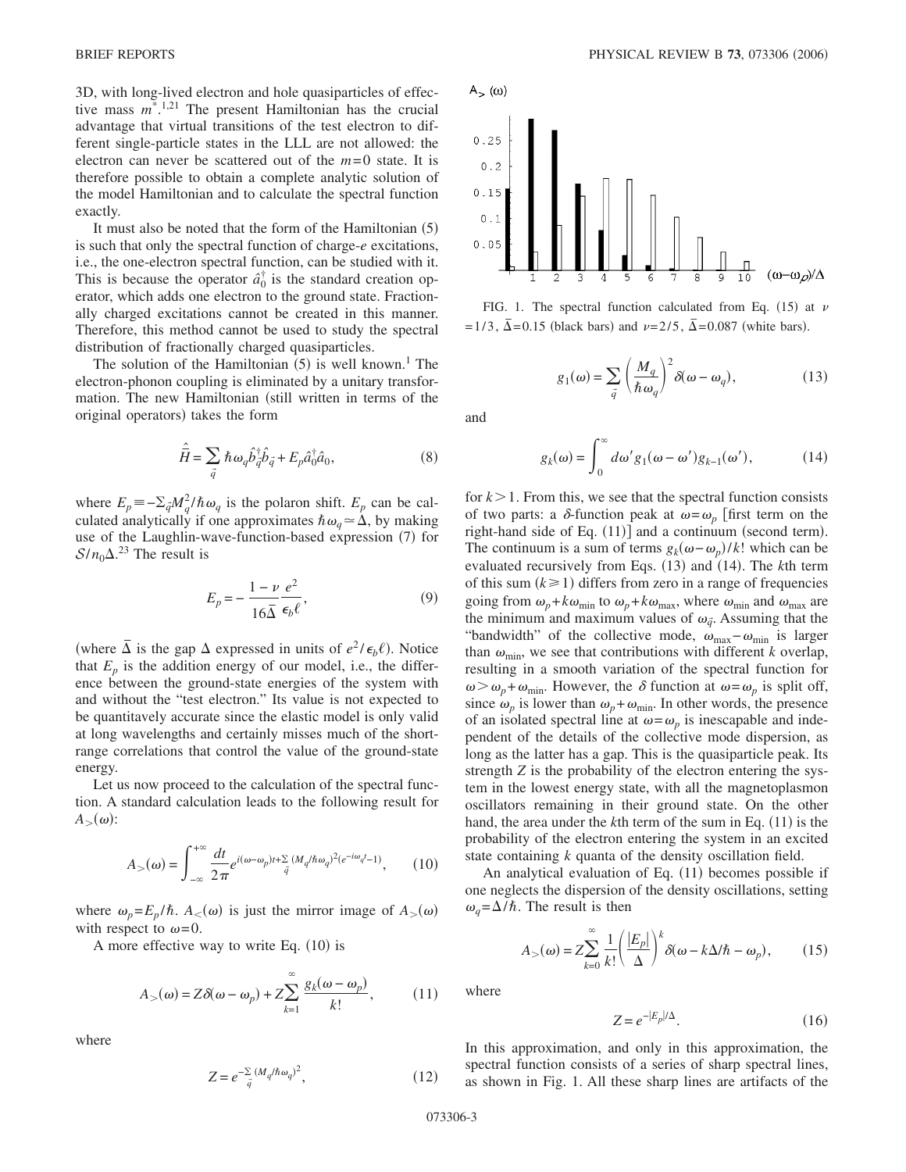3D, with long-lived electron and hole quasiparticles of effective mass  $m^*$ <sup>1,21</sup> The present Hamiltonian has the crucial advantage that virtual transitions of the test electron to different single-particle states in the LLL are not allowed: the electron can never be scattered out of the  $m=0$  state. It is therefore possible to obtain a complete analytic solution of the model Hamiltonian and to calculate the spectral function exactly.

It must also be noted that the form of the Hamiltonian (5) is such that only the spectral function of charge-*e* excitations, i.e., the one-electron spectral function, can be studied with it. This is because the operator  $\hat{a}_0^{\dagger}$  is the standard creation operator, which adds one electron to the ground state. Fractionally charged excitations cannot be created in this manner. Therefore, this method cannot be used to study the spectral distribution of fractionally charged quasiparticles.

The solution of the Hamiltonian  $(5)$  is well known.<sup>1</sup> The electron-phonon coupling is eliminated by a unitary transformation. The new Hamiltonian (still written in terms of the original operators) takes the form

$$
\hat{\overline{H}} = \sum_{\vec{q}} \hbar \omega_q \hat{b}_{\vec{q}}^{\dagger} \hat{b}_{\vec{q}} + E_p \hat{a}_0^{\dagger} \hat{a}_0, \tag{8}
$$

where  $E_p = -\sum_{\vec{q}} M_q^2 / \hbar \omega_q$  is the polaron shift.  $E_p$  can be calculated analytically if one approximates  $\hbar \omega_q \approx \Delta$ , by making use of the Laughlin-wave-function-based expression (7) for  $S/n_0\Delta$ <sup>23</sup> The result is

$$
E_p = -\frac{1-\nu}{16\overline{\Delta}} \frac{e^2}{\epsilon_b \ell},\tag{9}
$$

(where  $\overline{\Delta}$  is the gap  $\Delta$  expressed in units of  $e^2/\epsilon_b \ell$ ). Notice that  $E_p$  is the addition energy of our model, i.e., the difference between the ground-state energies of the system with and without the "test electron." Its value is not expected to be quantitavely accurate since the elastic model is only valid at long wavelengths and certainly misses much of the shortrange correlations that control the value of the ground-state energy.

Let us now proceed to the calculation of the spectral function. A standard calculation leads to the following result for  $A_>(\omega)$ :

$$
A_{>}(\omega) = \int_{-\infty}^{+\infty} \frac{dt}{2\pi} e^{i(\omega - \omega_p)t + \sum_{\vec{q}} (M_q/\hbar\omega_q)^2 (e^{-i\omega_q t} - 1)},
$$
 (10)

where  $\omega_p = E_p / \hbar$ .  $A_{<} (\omega)$  is just the mirror image of  $A_{>} (\omega)$ with respect to  $\omega$ =0.

A more effective way to write Eq.  $(10)$  is

$$
A_{>}(\omega) = Z\delta(\omega - \omega_p) + Z \sum_{k=1}^{\infty} \frac{g_k(\omega - \omega_p)}{k!},
$$
 (11)

where

$$
Z = e^{-\sum_{\vec{q}} (M_q/\hbar \omega_q)^2}, \qquad (12)
$$



FIG. 1. The spectral function calculated from Eq. (15) at  $\nu$ =1/3,  $\bar{\Delta}$ =0.15 (black bars) and  $\nu$ =2/5,  $\bar{\Delta}$ =0.087 (white bars).

 $g_1(\omega) = \sum_{\vec{q}} \left( \frac{M_q}{\hbar \omega_q} \right)^2$  $\delta(\omega - \omega_q)$  $, \t(13)$ 

and

$$
g_k(\omega) = \int_0^\infty d\omega' g_1(\omega - \omega') g_{k-1}(\omega'), \qquad (14)
$$

for  $k > 1$ . From this, we see that the spectral function consists of two parts: a  $\delta$ -function peak at  $\omega = \omega_n$  first term on the right-hand side of Eq. (11)] and a continuum (second term). The continuum is a sum of terms  $g_k(\omega - \omega_p)/k!$  which can be evaluated recursively from Eqs. (13) and (14). The *k*th term of this sum  $(k \ge 1)$  differs from zero in a range of frequencies going from  $\omega_p + k\omega_{\min}$  to  $\omega_p + k\omega_{\max}$ , where  $\omega_{\min}$  and  $\omega_{\max}$  are the minimum and maximum values of  $\omega_{\vec{q}}$ . Assuming that the "bandwidth" of the collective mode,  $\omega_{\text{max}} - \omega_{\text{min}}$  is larger than  $\omega_{\min}$ , we see that contributions with different *k* overlap, resulting in a smooth variation of the spectral function for  $\omega > \omega_p + \omega_{\min}$ . However, the  $\delta$  function at  $\omega = \omega_p$  is split off, since  $\omega_p$  is lower than  $\omega_p + \omega_{\text{min}}$ . In other words, the presence of an isolated spectral line at  $\omega = \omega_p$  is inescapable and independent of the details of the collective mode dispersion, as long as the latter has a gap. This is the quasiparticle peak. Its strength *Z* is the probability of the electron entering the system in the lowest energy state, with all the magnetoplasmon oscillators remaining in their ground state. On the other hand, the area under the *k*th term of the sum in Eq. (11) is the probability of the electron entering the system in an excited state containing *k* quanta of the density oscillation field.

An analytical evaluation of Eq. (11) becomes possible if one neglects the dispersion of the density oscillations, setting  $\omega_q = \Delta/\hbar$ . The result is then

$$
A_{>}(\omega) = Z \sum_{k=0}^{\infty} \frac{1}{k!} \left( \frac{|E_p|}{\Delta} \right)^k \delta(\omega - k \Delta/\hbar - \omega_p), \quad (15)
$$

where

$$
Z = e^{-|E_p|/\Delta}.\tag{16}
$$

In this approximation, and only in this approximation, the spectral function consists of a series of sharp spectral lines, as shown in Fig. 1. All these sharp lines are artifacts of the